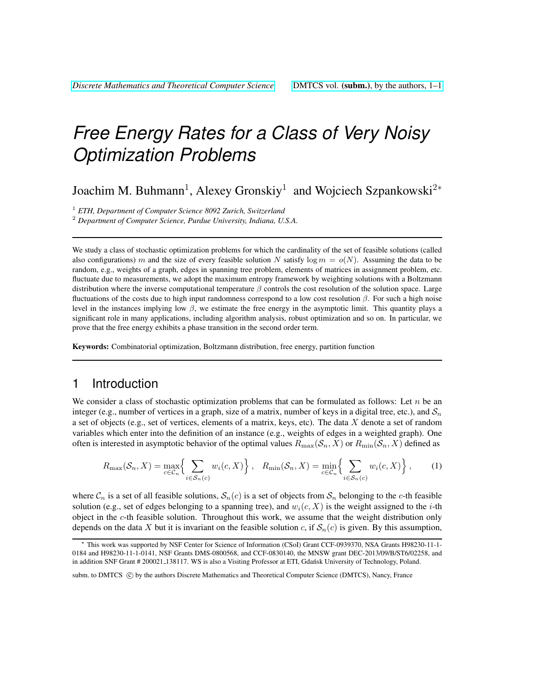# *Free Energy Rates for a Class of Very Noisy Optimization Problems*

Joachim M. Buhmann<sup>1</sup>, Alexey Gronskiy<sup>1</sup> and Wojciech Szpankowski<sup>2∗</sup>

<sup>1</sup> *ETH, Department of Computer Science 8092 Zurich, Switzerland*

<sup>2</sup> *Department of Computer Science, Purdue University, Indiana, U.S.A.*

We study a class of stochastic optimization problems for which the cardinality of the set of feasible solutions (called also configurations) m and the size of every feasible solution N satisfy log  $m = o(N)$ . Assuming the data to be random, e.g., weights of a graph, edges in spanning tree problem, elements of matrices in assignment problem, etc. fluctuate due to measurements, we adopt the maximum entropy framework by weighting solutions with a Boltzmann distribution where the inverse computational temperature  $\beta$  controls the cost resolution of the solution space. Large fluctuations of the costs due to high input randomness correspond to a low cost resolution  $\beta$ . For such a high noise level in the instances implying low β, we estimate the free energy in the asymptotic limit. This quantity plays a significant role in many applications, including algorithm analysis, robust optimization and so on. In particular, we prove that the free energy exhibits a phase transition in the second order term.

Keywords: Combinatorial optimization, Boltzmann distribution, free energy, partition function

## 1 Introduction

We consider a class of stochastic optimization problems that can be formulated as follows: Let  $n$  be an integer (e.g., number of vertices in a graph, size of a matrix, number of keys in a digital tree, etc.), and  $S_n$ a set of objects (e.g., set of vertices, elements of a matrix, keys, etc). The data  $X$  denote a set of random variables which enter into the definition of an instance (e.g., weights of edges in a weighted graph). One often is interested in asymptotic behavior of the optimal values  $R_{\max}(S_n, X)$  or  $R_{\min}(S_n, X)$  defined as

$$
R_{\max}(\mathcal{S}_n, X) = \max_{c \in \mathcal{C}_n} \left\{ \sum_{i \in \mathcal{S}_n(c)} w_i(c, X) \right\}, \quad R_{\min}(\mathcal{S}_n, X) = \min_{c \in \mathcal{C}_n} \left\{ \sum_{i \in \mathcal{S}_n(c)} w_i(c, X) \right\},\tag{1}
$$

where  $\mathcal{C}_n$  is a set of all feasible solutions,  $\mathcal{S}_n(c)$  is a set of objects from  $\mathcal{S}_n$  belonging to the c-th feasible solution (e.g., set of edges belonging to a spanning tree), and  $w_i(c, X)$  is the weight assigned to the *i*-th object in the  $c$ -th feasible solution. Throughout this work, we assume that the weight distribution only depends on the data X but it is invariant on the feasible solution c, if  $\mathcal{S}_n(c)$  is given. By this assumption,

<sup>∗</sup> This work was supported by NSF Center for Science of Information (CSoI) Grant CCF-0939370, NSA Grants H98230-11-1- 0184 and H98230-11-1-0141, NSF Grants DMS-0800568, and CCF-0830140, the MNSW grant DEC-2013/09/B/ST6/02258, and in addition SNF Grant # 200021\_138117. WS is also a Visiting Professor at ETI, Gdańsk University of Technology, Poland.

subm. to DMTCS  $\odot$  by the authors Discrete Mathematics and Theoretical Computer Science (DMTCS), Nancy, France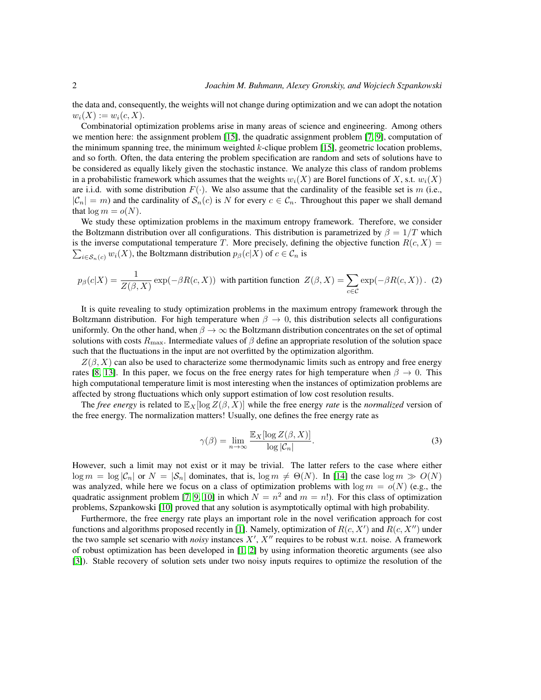the data and, consequently, the weights will not change during optimization and we can adopt the notation  $w_i(X) := w_i(c, X).$ 

Combinatorial optimization problems arise in many areas of science and engineering. Among others we mention here: the assignment problem [\[15\]](#page-11-0), the quadratic assignment problem [\[7,](#page-11-1) [9\]](#page-11-2), computation of the minimum spanning tree, the minimum weighted  $k$ -clique problem [\[15\]](#page-11-0), geometric location problems, and so forth. Often, the data entering the problem specification are random and sets of solutions have to be considered as equally likely given the stochastic instance. We analyze this class of random problems in a probabilistic framework which assumes that the weights  $w_i(X)$  are Borel functions of X, s.t.  $w_i(X)$ are i.i.d. with some distribution  $F(\cdot)$ . We also assume that the cardinality of the feasible set is m (i.e.,  $|\mathcal{C}_n| = m$ ) and the cardinality of  $\mathcal{S}_n(c)$  is N for every  $c \in \mathcal{C}_n$ . Throughout this paper we shall demand that  $\log m = o(N)$ .

We study these optimization problems in the maximum entropy framework. Therefore, we consider the Boltzmann distribution over all configurations. This distribution is parametrized by  $\beta = 1/T$  which  $\sum_{i \in S_n(c)} w_i(X)$ , the Boltzmann distribution  $p_\beta(c|X)$  of  $c \in \mathcal{C}_n$  is is the inverse computational temperature T. More precisely, defining the objective function  $R(c, X)$  =

$$
p_{\beta}(c|X) = \frac{1}{Z(\beta, X)} \exp(-\beta R(c, X))
$$
 with partition function  $Z(\beta, X) = \sum_{c \in C} \exp(-\beta R(c, X))$ . (2)

It is quite revealing to study optimization problems in the maximum entropy framework through the Boltzmann distribution. For high temperature when  $\beta \to 0$ , this distribution selects all configurations uniformly. On the other hand, when  $\beta \to \infty$  the Boltzmann distribution concentrates on the set of optimal solutions with costs  $R_{\text{max}}$ . Intermediate values of  $\beta$  define an appropriate resolution of the solution space such that the fluctuations in the input are not overfitted by the optimization algorithm.

 $Z(\beta, X)$  can also be used to characterize some thermodynamic limits such as entropy and free energy rates [\[8,](#page-11-3) [13\]](#page-11-4). In this paper, we focus on the free energy rates for high temperature when  $\beta \to 0$ . This high computational temperature limit is most interesting when the instances of optimization problems are affected by strong fluctuations which only support estimation of low cost resolution results.

The *free energy* is related to  $\mathbb{E}_X$ [log  $Z(\beta, X)$ ] while the free energy *rate* is the *normalized* version of the free energy. The normalization matters! Usually, one defines the free energy rate as

<span id="page-1-0"></span>
$$
\gamma(\beta) = \lim_{n \to \infty} \frac{\mathbb{E}_X[\log Z(\beta, X)]}{\log |\mathcal{C}_n|}.
$$
\n(3)

However, such a limit may not exist or it may be trivial. The latter refers to the case where either  $\log m = \log |\mathcal{C}_n|$  or  $N = |\mathcal{S}_n|$  dominates, that is,  $\log m \neq \Theta(N)$ . In [\[14\]](#page-11-5) the case  $\log m \gg O(N)$ was analyzed, while here we focus on a class of optimization problems with  $\log m = o(N)$  (e.g., the quadratic assignment problem [\[7,](#page-11-1) [9,](#page-11-2) [10\]](#page-11-6) in which  $N = n^2$  and  $m = n!$ ). For this class of optimization problems, Szpankowski [\[10\]](#page-11-6) proved that any solution is asymptotically optimal with high probability.

Furthermore, the free energy rate plays an important role in the novel verification approach for cost functions and algorithms proposed recently in [\[1\]](#page-11-7). Namely, optimization of  $R(c, X')$  and  $R(c, X'')$  under the two sample set scenario with *noisy* instances  $X'$ ,  $X''$  requires to be robust w.r.t. noise. A framework of robust optimization has been developed in [\[1,](#page-11-7) [2\]](#page-11-8) by using information theoretic arguments (see also [\[3\]](#page-11-9)). Stable recovery of solution sets under two noisy inputs requires to optimize the resolution of the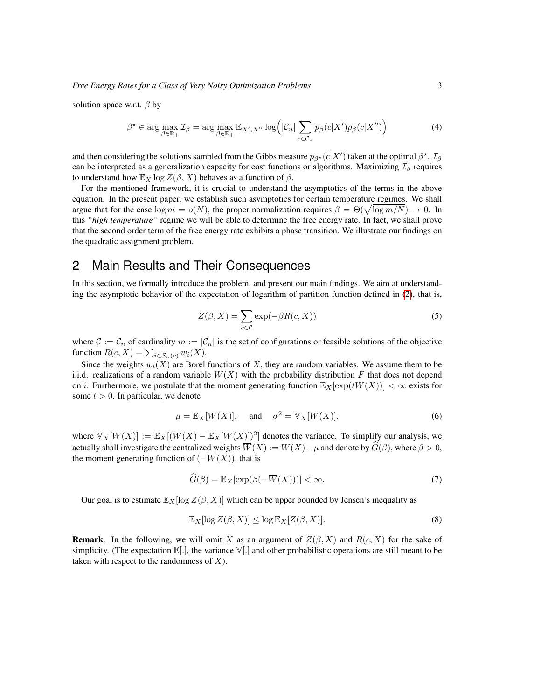solution space w.r.t.  $\beta$  by

$$
\beta^* \in \arg\max_{\beta \in \mathbb{R}_+} \mathcal{I}_{\beta} = \arg\max_{\beta \in \mathbb{R}_+} \mathbb{E}_{X',X''} \log \left( |\mathcal{C}_n| \sum_{c \in \mathcal{C}_n} p_{\beta}(c|X') p_{\beta}(c|X'') \right) \tag{4}
$$

and then considering the solutions sampled from the Gibbs measure  $p_{\beta^{\star}}(c|X')$  taken at the optimal  $\beta^{\star}$ .  $\mathcal{I}_{\beta}$ can be interpreted as a generalization capacity for cost functions or algorithms. Maximizing  $\mathcal{I}_{\beta}$  requires to understand how  $\mathbb{E}_X \log Z(\beta, X)$  behaves as a function of  $\beta$ .

For the mentioned framework, it is crucial to understand the asymptotics of the terms in the above equation. In the present paper, we establish such asymptotics for certain temperature regimes. We shall argue that for the case  $\log m = o(N)$ , the proper normalization requires  $\beta = \Theta(\sqrt{\log m/N}) \to 0$ . In this *"high temperature"* regime we will be able to determine the free energy rate. In fact, we shall prove that the second order term of the free energy rate exhibits a phase transition. We illustrate our findings on the quadratic assignment problem.

# 2 Main Results and Their Consequences

In this section, we formally introduce the problem, and present our main findings. We aim at understanding the asymptotic behavior of the expectation of logarithm of partition function defined in [\(2\)](#page-1-0), that is,

$$
Z(\beta, X) = \sum_{c \in \mathcal{C}} \exp(-\beta R(c, X))
$$
 (5)

where  $\mathcal{C} := \mathcal{C}_n$  of cardinality  $m := |\mathcal{C}_n|$  is the set of configurations or feasible solutions of the objective function  $R(c, X) = \sum_{i \in S_n(c)} w_i(X)$ .

Since the weights  $w_i(X)$  are Borel functions of X, they are random variables. We assume them to be i.i.d. realizations of a random variable  $W(X)$  with the probability distribution F that does not depend on i. Furthermore, we postulate that the moment generating function  $\mathbb{E}_X[\exp(tW(X))] < \infty$  exists for some  $t > 0$ . In particular, we denote

$$
\mu = \mathbb{E}_X[W(X)], \quad \text{and} \quad \sigma^2 = \mathbb{V}_X[W(X)], \tag{6}
$$

where  $\mathbb{V}_X[W(X)] := \mathbb{E}_X[(W(X) - \mathbb{E}_X[W(X)])^2]$  denotes the variance. To simplify our analysis, we actually shall investigate the centralized weights  $\overline{W}(X) := W(X) - \mu$  and denote by  $\widehat{G}(\beta)$ , where  $\beta > 0$ , the moment generating function of  $(-\overline{W}(X))$ , that is

$$
\widehat{G}(\beta) = \mathbb{E}_X[\exp(\beta(-\overline{W}(X)))] < \infty. \tag{7}
$$

Our goal is to estimate  $\mathbb{E}_X[\log Z(\beta, X)]$  which can be upper bounded by Jensen's inequality as

$$
\mathbb{E}_X[\log Z(\beta, X)] \le \log \mathbb{E}_X[Z(\beta, X)].\tag{8}
$$

**Remark.** In the following, we will omit X as an argument of  $Z(\beta, X)$  and  $R(c, X)$  for the sake of simplicity. (The expectation  $\mathbb{E}[.]$ , the variance  $\mathbb{V}[.]$  and other probabilistic operations are still meant to be taken with respect to the randomness of  $X$ ).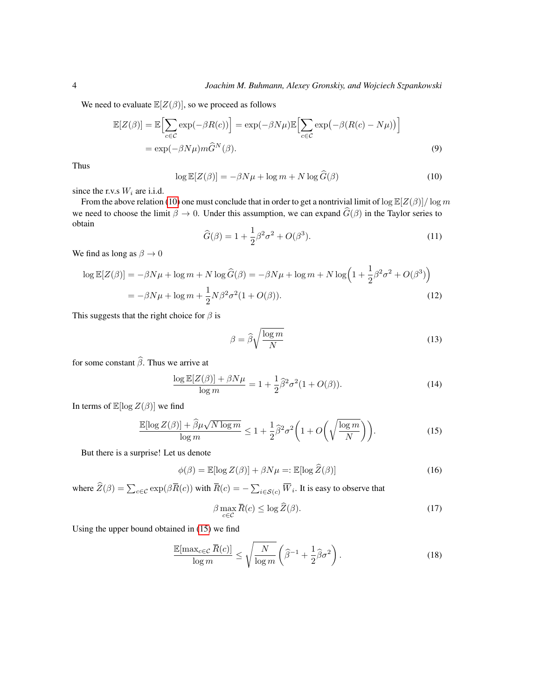We need to evaluate  $\mathbb{E}[Z(\beta)]$ , so we proceed as follows

$$
\mathbb{E}[Z(\beta)] = \mathbb{E}\Big[\sum_{c \in \mathcal{C}} \exp(-\beta R(c))\Big] = \exp(-\beta N\mu)\mathbb{E}\Big[\sum_{c \in \mathcal{C}} \exp(-\beta (R(c) - N\mu))\Big]
$$
  
=  $\exp(-\beta N\mu)m\hat{G}^N(\beta).$  (9)

<span id="page-3-0"></span>Thus

$$
\log \mathbb{E}[Z(\beta)] = -\beta N\mu + \log m + N \log \widehat{G}(\beta)
$$
 (10)

since the r.v.s  $W_i$  are i.i.d.

From the above relation [\(10\)](#page-3-0) one must conclude that in order to get a nontrivial limit of  $\log \mathbb{E}[Z(\beta)]/\log m$ we need to choose the limit  $\beta \to 0$ . Under this assumption, we can expand  $\widehat{G}(\beta)$  in the Taylor series to obtain

$$
\widehat{G}(\beta) = 1 + \frac{1}{2}\beta^2 \sigma^2 + O(\beta^3).
$$
 (11)

We find as long as  $\beta \to 0$ 

$$
\log \mathbb{E}[Z(\beta)] = -\beta N\mu + \log m + N \log \widehat{G}(\beta) = -\beta N\mu + \log m + N \log \left(1 + \frac{1}{2}\beta^2 \sigma^2 + O(\beta^3)\right)
$$
  
=  $-\beta N\mu + \log m + \frac{1}{2}N\beta^2 \sigma^2 (1 + O(\beta)).$  (12)

This suggests that the right choice for  $\beta$  is

$$
\beta = \widehat{\beta} \sqrt{\frac{\log m}{N}} \tag{13}
$$

for some constant  $\widehat{\beta}$ . Thus we arrive at

<span id="page-3-1"></span>
$$
\frac{\log \mathbb{E}[Z(\beta)] + \beta N\mu}{\log m} = 1 + \frac{1}{2}\widehat{\beta}^2 \sigma^2 (1 + O(\beta)).\tag{14}
$$

In terms of  $\mathbb{E}[\log Z(\beta)]$  we find

$$
\frac{\mathbb{E}[\log Z(\beta)] + \widehat{\beta}\mu\sqrt{N\log m}}{\log m} \le 1 + \frac{1}{2}\widehat{\beta}^2\sigma^2 \left(1 + O\left(\sqrt{\frac{\log m}{N}}\right)\right). \tag{15}
$$

But there is a surprise! Let us denote

$$
\phi(\beta) = \mathbb{E}[\log Z(\beta)] + \beta N \mu =: \mathbb{E}[\log \widehat{Z}(\beta)] \tag{16}
$$

where  $Z(\beta) = \sum_{c \in \mathcal{C}} \exp(\beta \overline{R}(c))$  with  $\overline{R}(c) = -\sum_{i \in \mathcal{S}(c)} \overline{W}_i$ . It is easy to observe that

<span id="page-3-2"></span>
$$
\beta \max_{c \in \mathcal{C}} \overline{R}(c) \le \log \widehat{Z}(\beta). \tag{17}
$$

Using the upper bound obtained in [\(15\)](#page-3-1) we find

$$
\frac{\mathbb{E}[\max_{c \in \mathcal{C}} \overline{R}(c)]}{\log m} \le \sqrt{\frac{N}{\log m}} \left(\hat{\beta}^{-1} + \frac{1}{2}\hat{\beta}\sigma^2\right). \tag{18}
$$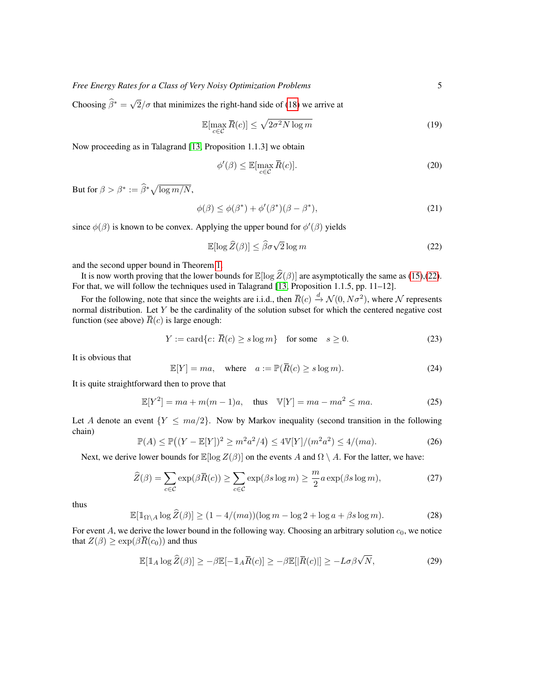Choosing  $\widehat{\beta}^* = \sqrt{ }$  $2/\sigma$  that minimizes the right-hand side of [\(18\)](#page-3-2) we arrive at

$$
\mathbb{E}[\max_{c \in \mathcal{C}} \overline{R}(c)] \le \sqrt{2\sigma^2 N \log m} \tag{19}
$$

Now proceeding as in Talagrand [\[13,](#page-11-4) Proposition 1.1.3] we obtain

$$
\phi'(\beta) \le \mathbb{E}[\max_{c \in \mathcal{C}} \overline{R}(c)].\tag{20}
$$

But for  $\beta > \beta^* := \widehat{\beta}^* \sqrt{\log m/N},$ 

$$
\phi(\beta) \le \phi(\beta^*) + \phi'(\beta^*)(\beta - \beta^*),\tag{21}
$$

since  $\phi(\beta)$  is known to be convex. Applying the upper bound for  $\phi'(\beta)$  yields

<span id="page-4-0"></span>
$$
\mathbb{E}[\log \hat{Z}(\beta)] \le \hat{\beta}\sigma\sqrt{2}\log m \tag{22}
$$

and the second upper bound in Theorem [1.](#page-5-0)

It is now worth proving that the lower bounds for  $\mathbb{E}[\log \hat{Z}(\beta)]$  are asymptotically the same as [\(15\)](#page-3-1),[\(22\)](#page-4-0). For that, we will follow the techniques used in Talagrand [\[13,](#page-11-4) Proposition 1.1.5, pp. 11–12].

For the following, note that since the weights are i.i.d., then  $\bar{R}(c) \stackrel{d}{\to} \mathcal{N}(0, N\sigma^2)$ , where  $\mathcal N$  represents normal distribution. Let Y be the cardinality of the solution subset for which the centered negative cost function (see above)  $\overline{R}(c)$  is large enough:

$$
Y := \text{card}\{c \colon \overline{R}(c) \ge s \log m\} \quad \text{for some} \quad s \ge 0. \tag{23}
$$

It is obvious that

$$
\mathbb{E}[Y] = ma, \quad \text{where} \quad a := \mathbb{P}(\overline{R}(c) \ge s \log m). \tag{24}
$$

It is quite straightforward then to prove that

$$
\mathbb{E}[Y^2] = ma + m(m-1)a, \text{ thus } \mathbb{V}[Y] = ma - ma^2 \le ma. \tag{25}
$$

Let A denote an event  ${Y \leq ma/2}$ . Now by Markov inequality (second transition in the following chain)

$$
\mathbb{P}(A) \le \mathbb{P}\big((Y - \mathbb{E}[Y])^2 \ge m^2 a^2 / 4\big) \le 4\mathbb{V}[Y]/(m^2 a^2) \le 4/(ma). \tag{26}
$$

Next, we derive lower bounds for  $\mathbb{E}[\log Z(\beta)]$  on the events A and  $\Omega \setminus A$ . For the latter, we have:

$$
\widehat{Z}(\beta) = \sum_{c \in \mathcal{C}} \exp(\beta \overline{R}(c)) \ge \sum_{c \in \mathcal{C}} \exp(\beta s \log m) \ge \frac{m}{2} a \exp(\beta s \log m),\tag{27}
$$

<span id="page-4-1"></span>thus

$$
\mathbb{E}[\mathbb{1}_{\Omega\setminus A}\log\widehat{Z}(\beta)] \ge (1 - 4/(ma))(\log m - \log 2 + \log a + \beta s \log m). \tag{28}
$$

For event A, we derive the lower bound in the following way. Choosing an arbitrary solution  $c_0$ , we notice that  $Z(\beta) \geq \exp(\beta \overline{R}(c_0))$  and thus

<span id="page-4-2"></span>
$$
\mathbb{E}[\mathbb{1}_A \log \widehat{Z}(\beta)] \ge -\beta \mathbb{E}[-\mathbb{1}_A \overline{R}(c)] \ge -\beta \mathbb{E}[|\overline{R}(c)|] \ge -L\sigma\beta\sqrt{N},\tag{29}
$$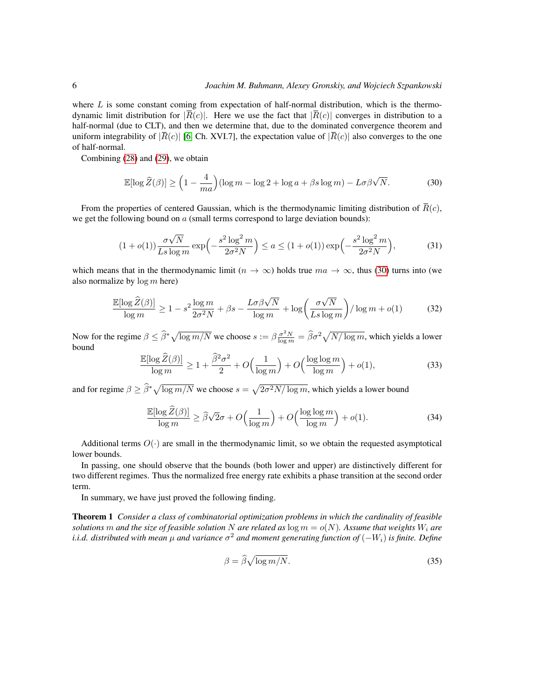where  $L$  is some constant coming from expectation of half-normal distribution, which is the thermodynamic limit distribution for  $|\overline{R}(c)|$ . Here we use the fact that  $|\overline{R}(c)|$  converges in distribution to a half-normal (due to CLT), and then we determine that, due to the dominated convergence theorem and uniform integrability of  $|\overline{R}(c)|$  [\[6,](#page-11-10) Ch. XVI.7], the expectation value of  $|\overline{R}(c)|$  also converges to the one of half-normal.

Combining [\(28\)](#page-4-1) and [\(29\)](#page-4-2), we obtain

<span id="page-5-1"></span>
$$
\mathbb{E}[\log \widehat{Z}(\beta)] \ge \left(1 - \frac{4}{ma}\right) (\log m - \log 2 + \log a + \beta s \log m) - L\sigma\beta\sqrt{N}.\tag{30}
$$

From the properties of centered Gaussian, which is the thermodynamic limiting distribution of  $\overline{R}(c)$ , we get the following bound on  $a$  (small terms correspond to large deviation bounds):

$$
(1 + o(1)) \frac{\sigma \sqrt{N}}{Ls \log m} \exp\left(-\frac{s^2 \log^2 m}{2\sigma^2 N}\right) \le a \le (1 + o(1)) \exp\left(-\frac{s^2 \log^2 m}{2\sigma^2 N}\right),\tag{31}
$$

which means that in the thermodynamic limit ( $n \to \infty$ ) holds true  $ma \to \infty$ , thus [\(30\)](#page-5-1) turns into (we also normalize by  $log m$  here)

$$
\frac{\mathbb{E}[\log \widehat{Z}(\beta)]}{\log m} \ge 1 - s^2 \frac{\log m}{2\sigma^2 N} + \beta s - \frac{L\sigma \beta \sqrt{N}}{\log m} + \log \left( \frac{\sigma \sqrt{N}}{Ls \log m} \right) / \log m + o(1) \tag{32}
$$

Now for the regime  $\beta \leq \hat{\beta}^* \sqrt{\log m/N}$  we choose  $s := \beta \frac{\sigma^2 N}{\log m} = \hat{\beta} \sigma^2 \sqrt{N/\log m}$ , which yields a lower bound

$$
\frac{\mathbb{E}[\log \widehat{Z}(\beta)]}{\log m} \ge 1 + \frac{\widehat{\beta}^2 \sigma^2}{2} + O\left(\frac{1}{\log m}\right) + O\left(\frac{\log \log m}{\log m}\right) + o(1),\tag{33}
$$

and for regime  $\beta \geq \hat{\beta}^* \sqrt{\log m/N}$  we choose  $s = \sqrt{2\sigma^2 N/\log m}$ , which yields a lower bound

$$
\frac{\mathbb{E}[\log \widehat{Z}(\beta)]}{\log m} \ge \widehat{\beta}\sqrt{2}\sigma + O\left(\frac{1}{\log m}\right) + O\left(\frac{\log \log m}{\log m}\right) + o(1). \tag{34}
$$

Additional terms  $O(\cdot)$  are small in the thermodynamic limit, so we obtain the requested asymptotical lower bounds.

In passing, one should observe that the bounds (both lower and upper) are distinctively different for two different regimes. Thus the normalized free energy rate exhibits a phase transition at the second order term.

In summary, we have just proved the following finding.

<span id="page-5-0"></span>Theorem 1 *Consider a class of combinatorial optimization problems in which the cardinality of feasible solutions* m *and the size of feasible solution* N *are related as*  $\log m = o(N)$ *. Assume that weights*  $W_i$  *are* i.i.d. distributed with mean  $\mu$  and variance  $\sigma^2$  and moment generating function of  $(-W_i)$  is finite. Define

$$
\beta = \widehat{\beta}\sqrt{\log m/N}.\tag{35}
$$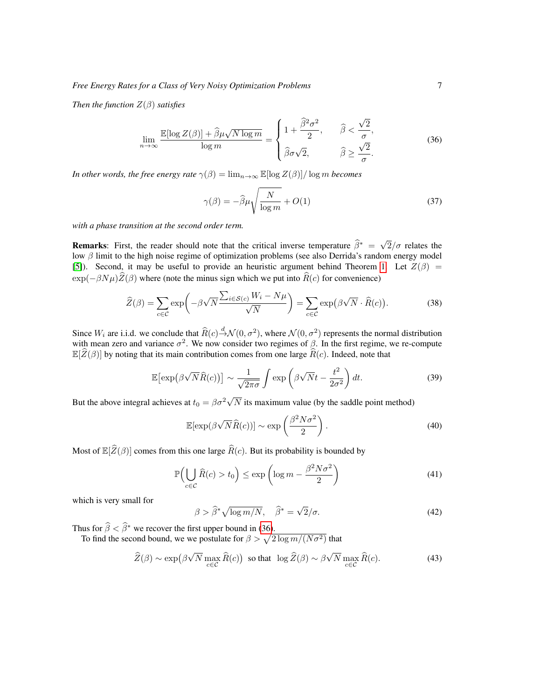*Then the function* Z(β) *satisfies*

<span id="page-6-0"></span>
$$
\lim_{n \to \infty} \frac{\mathbb{E}[\log Z(\beta)] + \widehat{\beta}\mu\sqrt{N\log m}}{\log m} = \begin{cases} 1 + \frac{\widehat{\beta}^2 \sigma^2}{2}, & \widehat{\beta} < \frac{\sqrt{2}}{\sigma}, \\ \widehat{\beta}\sigma\sqrt{2}, & \widehat{\beta} \ge \frac{\sqrt{2}}{\sigma}. \end{cases}
$$
(36)

*In other words, the free energy rate*  $\gamma(\beta) = \lim_{n \to \infty} \mathbb{E}[\log Z(\beta)] / \log m$  *becomes* 

$$
\gamma(\beta) = -\widehat{\beta}\mu\sqrt{\frac{N}{\log m}} + O(1)
$$
\n(37)

*with a phase transition at the second order term.*

**Remarks:** First, the reader should note that the critical inverse temperature  $\hat{\beta}^* = \sqrt{\frac{1}{\hat{\beta}^*}}$  $2/\sigma$  relates the low  $\beta$  limit to the high noise regime of optimization problems (see also Derrida's random energy model [\[5\]](#page-11-11)). Second, it may be useful to provide an heuristic argument behind Theorem [1.](#page-5-0) Let  $Z(\beta)$  =  $\exp(-\beta N\mu)\hat{Z}(\beta)$  where (note the minus sign which we put into  $\hat{R}(c)$  for convenience)

$$
\widehat{Z}(\beta) = \sum_{c \in \mathcal{C}} \exp\left(-\beta \sqrt{N} \frac{\sum_{i \in \mathcal{S}(c)} W_i - N\mu}{\sqrt{N}}\right) = \sum_{c \in \mathcal{C}} \exp\left(\beta \sqrt{N} \cdot \widehat{R}(c)\right).
$$
 (38)

Since  $W_i$  are i.i.d. we conclude that  $\widehat{R}(c) \stackrel{d}{\rightarrow} \mathcal{N}(0, \sigma^2)$ , where  $\mathcal{N}(0, \sigma^2)$  represents the normal distribution with mean zero and variance  $\sigma^2$ . We now consider two regimes of  $\beta$ . In the first regime, we re-compute  $\mathbb{E}[\widehat{Z}(\beta)]$  by noting that its main contribution comes from one large  $\widehat{R}(c)$ . Indeed, note that

$$
\mathbb{E}\left[\exp\left(\beta\sqrt{N}\widehat{R}(c)\right)\right] \sim \frac{1}{\sqrt{2\pi\sigma}} \int \exp\left(\beta\sqrt{N}t - \frac{t^2}{2\sigma^2}\right) dt. \tag{39}
$$

But the above integral achieves at  $t_0 = \beta \sigma^2 \sqrt{ }$  $N$  its maximum value (by the saddle point method)

$$
\mathbb{E}[\exp(\beta\sqrt{N}\widehat{R}(c))] \sim \exp\left(\frac{\beta^2 N\sigma^2}{2}\right). \tag{40}
$$

Most of  $\mathbb{E}[\widehat{Z}(\beta)]$  comes from this one large  $\widehat{R}(c)$ . But its probability is bounded by

$$
\mathbb{P}\Big(\bigcup_{c \in \mathcal{C}} \widehat{R}(c) > t_0\Big) \le \exp\left(\log m - \frac{\beta^2 N \sigma^2}{2}\right) \tag{41}
$$

which is very small for

$$
\beta > \hat{\beta}^* \sqrt{\log m/N}, \quad \hat{\beta}^* = \sqrt{2}/\sigma. \tag{42}
$$

Thus for  $\hat{\beta} < \hat{\beta}^*$  we recover the first upper bound in [\(36\)](#page-6-0).<br>To find the second bound, we we postulate for  $\beta > \sqrt{2 \log m / (N \sigma^2)}$  that

$$
\widehat{Z}(\beta) \sim \exp\left(\beta \sqrt{N} \max_{c \in \mathcal{C}} \widehat{R}(c)\right) \text{ so that } \log \widehat{Z}(\beta) \sim \beta \sqrt{N} \max_{c \in \mathcal{C}} \widehat{R}(c). \tag{43}
$$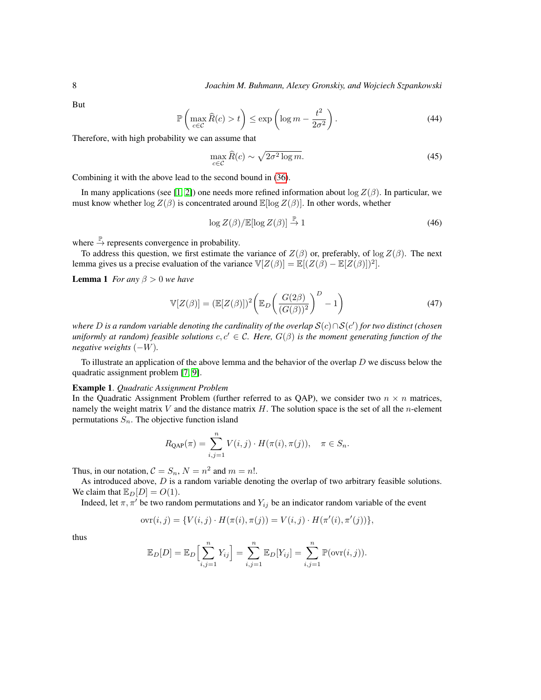But

$$
\mathbb{P}\left(\max_{c \in \mathcal{C}} \widehat{R}(c) > t\right) \le \exp\left(\log m - \frac{t^2}{2\sigma^2}\right). \tag{44}
$$

Therefore, with high probability we can assume that

$$
\max_{c \in \mathcal{C}} \widehat{R}(c) \sim \sqrt{2\sigma^2 \log m}.\tag{45}
$$

Combining it with the above lead to the second bound in [\(36\)](#page-6-0).

In many applications (see [\[1,](#page-11-7) [2\]](#page-11-8)) one needs more refined information about  $\log Z(\beta)$ . In particular, we must know whether  $\log Z(\beta)$  is concentrated around  $\mathbb{E}[\log Z(\beta)]$ . In other words, whether

$$
\log Z(\beta)/\mathbb{E}[\log Z(\beta)] \stackrel{\mathbb{P}}{\to} 1 \tag{46}
$$

where  $\stackrel{\mathbb{P}}{\rightarrow}$  represents convergence in probability.

To address this question, we first estimate the variance of  $Z(\beta)$  or, preferably, of log  $Z(\beta)$ . The next lemma gives us a precise evaluation of the variance  $\mathbb{V}[Z(\beta)] = \mathbb{E}[(Z(\beta) - \mathbb{E}[Z(\beta)])^2]$ .

<span id="page-7-0"></span>**Lemma 1** *For any*  $\beta > 0$  *we have* 

$$
\mathbb{V}[Z(\beta)] = (\mathbb{E}[Z(\beta)])^2 \left( \mathbb{E}_D \left( \frac{G(2\beta)}{(G(\beta))^2} \right)^D - 1 \right)
$$
(47)

*where* D *is a random variable denoting the cardinality of the overlap* S(c)∩S(c 0 ) *for two distinct (chosen uniformly at random) feasible solutions*  $c, c' \in \mathcal{C}$ *. Here,*  $G(\beta)$  *is the moment generating function of the negative weights* (−W)*.*

To illustrate an application of the above lemma and the behavior of the overlap  $D$  we discuss below the quadratic assignment problem [\[7,](#page-11-1) [9\]](#page-11-2).

#### Example 1. *Quadratic Assignment Problem*

In the Quadratic Assignment Problem (further referred to as QAP), we consider two  $n \times n$  matrices, namely the weight matrix V and the distance matrix  $H$ . The solution space is the set of all the *n*-element permutations  $S_n$ . The objective function island

$$
R_{\text{QAP}}(\pi) = \sum_{i,j=1}^{n} V(i,j) \cdot H(\pi(i), \pi(j)), \quad \pi \in S_n.
$$

Thus, in our notation,  $C = S_n$ ,  $N = n^2$  and  $m = n!$ .

As introduced above,  $D$  is a random variable denoting the overlap of two arbitrary feasible solutions. We claim that  $\mathbb{E}_D[D] = O(1)$ .

Indeed, let  $\pi, \pi'$  be two random permutations and  $Y_{ij}$  be an indicator random variable of the event

$$
ovr(i, j) = \{V(i, j) \cdot H(\pi(i), \pi(j)) = V(i, j) \cdot H(\pi'(i), \pi'(j))\},\
$$

thus

$$
\mathbb{E}_D[D] = \mathbb{E}_D\Big[\sum_{i,j=1}^n Y_{ij}\Big] = \sum_{i,j=1}^n \mathbb{E}_D[Y_{ij}] = \sum_{i,j=1}^n \mathbb{P}(\text{ovr}(i,j)).
$$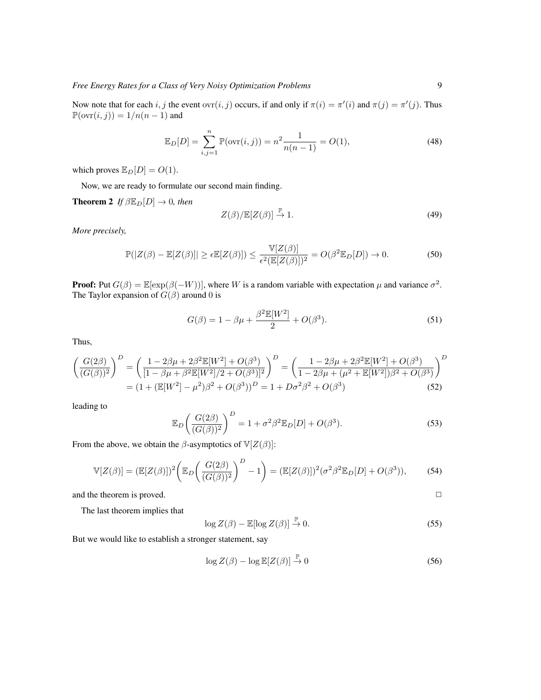Now note that for each i, j the event  $\text{ovr}(i, j)$  occurs, if and only if  $\pi(i) = \pi'(i)$  and  $\pi(j) = \pi'(j)$ . Thus  $\mathbb{P}(\text{ovr}(i, j)) = 1/n(n - 1)$  and

$$
\mathbb{E}_D[D] = \sum_{i,j=1}^n \mathbb{P}(\text{ovr}(i,j)) = n^2 \frac{1}{n(n-1)} = O(1),\tag{48}
$$

which proves  $\mathbb{E}_D[D] = O(1)$ .

Now, we are ready to formulate our second main finding.

<span id="page-8-0"></span>**Theorem 2** *If*  $\beta \mathbb{E}_D[D] \to 0$ *, then* 

$$
Z(\beta)/\mathbb{E}[Z(\beta)] \stackrel{\mathbb{P}}{\to} 1. \tag{49}
$$

*More precisely,*

<span id="page-8-1"></span>
$$
\mathbb{P}(|Z(\beta) - \mathbb{E}[Z(\beta)]| \ge \epsilon \mathbb{E}[Z(\beta)]) \le \frac{\mathbb{V}[Z(\beta)]}{\epsilon^2(\mathbb{E}[Z(\beta)])^2} = O(\beta^2 \mathbb{E}_D[D]) \to 0.
$$
 (50)

**Proof:** Put  $G(\beta) = \mathbb{E}[\exp(\beta(-W))]$ , where W is a random variable with expectation  $\mu$  and variance  $\sigma^2$ . The Taylor expansion of  $G(\beta)$  around 0 is

$$
G(\beta) = 1 - \beta \mu + \frac{\beta^2 \mathbb{E}[W^2]}{2} + O(\beta^3).
$$
 (51)

Thus,

$$
\left(\frac{G(2\beta)}{(G(\beta))^2}\right)^D = \left(\frac{1 - 2\beta\mu + 2\beta^2 \mathbb{E}[W^2] + O(\beta^3)}{[1 - \beta\mu + \beta^2 \mathbb{E}[W^2]/2 + O(\beta^3)]^2}\right)^D = \left(\frac{1 - 2\beta\mu + 2\beta^2 \mathbb{E}[W^2] + O(\beta^3)}{1 - 2\beta\mu + (\mu^2 + \mathbb{E}[W^2])\beta^2 + O(\beta^3)}\right)^D
$$

$$
= (1 + (\mathbb{E}[W^2] - \mu^2)\beta^2 + O(\beta^3))^D = 1 + D\sigma^2\beta^2 + O(\beta^3)
$$
(52)

leading to

$$
\mathbb{E}_D\left(\frac{G(2\beta)}{(G(\beta))^2}\right)^D = 1 + \sigma^2 \beta^2 \mathbb{E}_D[D] + O(\beta^3). \tag{53}
$$

From the above, we obtain the  $\beta$ -asymptotics of  $V[Z(\beta)]$ :

$$
\mathbb{V}[Z(\beta)] = (\mathbb{E}[Z(\beta)])^2 \bigg( \mathbb{E}_D \bigg( \frac{G(2\beta)}{(G(\beta))^2} \bigg)^D - 1 \bigg) = (\mathbb{E}[Z(\beta)])^2 (\sigma^2 \beta^2 \mathbb{E}_D[D] + O(\beta^3)),\tag{54}
$$

and the theorem is proved.  $\Box$ 

The last theorem implies that

<span id="page-8-2"></span>
$$
\log Z(\beta) - \mathbb{E}[\log Z(\beta)] \xrightarrow{\mathbb{P}} 0. \tag{55}
$$

But we would like to establish a stronger statement, say

$$
\log Z(\beta) - \log \mathbb{E}[Z(\beta)] \stackrel{\mathbb{P}}{\to} 0 \tag{56}
$$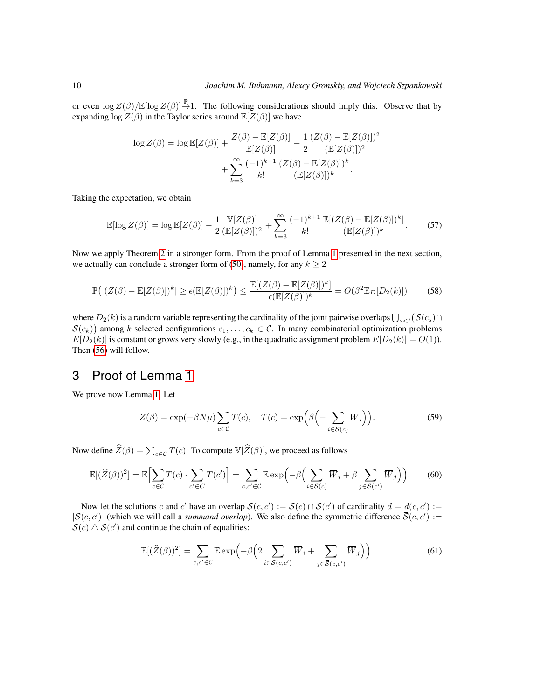or even  $\log Z(\beta)/\mathbb{E}[\log Z(\beta)] \stackrel{\mathbb{P}}{\rightarrow} 1$ . The following considerations should imply this. Observe that by expanding  $\log Z(\beta)$  in the Taylor series around  $\mathbb{E}[Z(\beta)]$  we have

$$
\log Z(\beta) = \log \mathbb{E}[Z(\beta)] + \frac{Z(\beta) - \mathbb{E}[Z(\beta)]}{\mathbb{E}[Z(\beta)]} - \frac{1}{2} \frac{(Z(\beta) - \mathbb{E}[Z(\beta)])^2}{(\mathbb{E}[Z(\beta)])^2} + \sum_{k=3}^{\infty} \frac{(-1)^{k+1}}{k!} \frac{(Z(\beta) - \mathbb{E}[Z(\beta)])^k}{(\mathbb{E}[Z(\beta)])^k}.
$$

Taking the expectation, we obtain

$$
\mathbb{E}[\log Z(\beta)] = \log \mathbb{E}[Z(\beta)] - \frac{1}{2} \frac{\mathbb{V}[Z(\beta)]}{(\mathbb{E}[Z(\beta)])^2} + \sum_{k=3}^{\infty} \frac{(-1)^{k+1}}{k!} \frac{\mathbb{E}[(Z(\beta) - \mathbb{E}[Z(\beta)])^k]}{(\mathbb{E}[Z(\beta)])^k}.
$$
 (57)

Now we apply Theorem [2](#page-8-0) in a stronger form. From the proof of Lemma [1](#page-7-0) presented in the next section, we actually can conclude a stronger form of [\(50\)](#page-8-1), namely, for any  $k \geq 2$ 

$$
\mathbb{P}\big(\left|\left(Z(\beta)-\mathbb{E}[Z(\beta)]\right)^k\right|\geq \epsilon \left(\mathbb{E}[Z(\beta)]\right)^k\big)\leq \frac{\mathbb{E}[(Z(\beta)-\mathbb{E}[Z(\beta)])^k]}{\epsilon \left(\mathbb{E}[Z(\beta)]\right)^k} = O(\beta^2 \mathbb{E}_D[D_2(k)])\tag{58}
$$

where  $D_2(k)$  is a random variable representing the cardinality of the joint pairwise overlaps  $\bigcup_{s$  $S(c_k)$ ) among k selected configurations  $c_1, \ldots, c_k \in \mathcal{C}$ . In many combinatorial optimization problems  $E[D_2(k)]$  is constant or grows very slowly (e.g., in the quadratic assignment problem  $E[D_2(k)] = O(1)$ ). Then [\(56\)](#page-8-2) will follow.

## 3 Proof of Lemma [1](#page-7-0)

We prove now Lemma [1.](#page-7-0) Let

$$
Z(\beta) = \exp(-\beta N\mu) \sum_{c \in \mathcal{C}} T(c), \quad T(c) = \exp\left(\beta \left(-\sum_{i \in \mathcal{S}(c)} \overline{W}_i\right)\right).
$$
 (59)

Now define  $\widehat{Z}(\beta) = \sum_{c \in \mathcal{C}} T(c)$ . To compute  $\mathbb{V}[\widehat{Z}(\beta)]$ , we proceed as follows

$$
\mathbb{E}[(\widehat{Z}(\beta))^2] = \mathbb{E}\Big[\sum_{c \in \mathcal{C}} T(c) \cdot \sum_{c' \in C} T(c')\Big] = \sum_{c,c' \in \mathcal{C}} \mathbb{E} \exp\Big(-\beta \Big(\sum_{i \in \mathcal{S}(c)} \overline{W}_i + \beta \sum_{j \in \mathcal{S}(c')} \overline{W}_j\Big)\Big). \tag{60}
$$

Now let the solutions c and c' have an overlap  $S(c, c') := S(c) \cap S(c')$  of cardinality  $d = d(c, c') :=$  $|S(c, c')|$  (which we will call a *summand overlap*). We also define the symmetric difference  $\overline{S}(c, c') :=$  $\mathcal{S}(c) \triangle \mathcal{S}(c')$  and continue the chain of equalities:

$$
\mathbb{E}[(\widehat{Z}(\beta))^2] = \sum_{c,c' \in \mathcal{C}} \mathbb{E} \exp\left(-\beta \left(2 \sum_{i \in S(c,c')} \overline{W}_i + \sum_{j \in \overline{S}(c,c')} \overline{W}_j\right)\right).
$$
(61)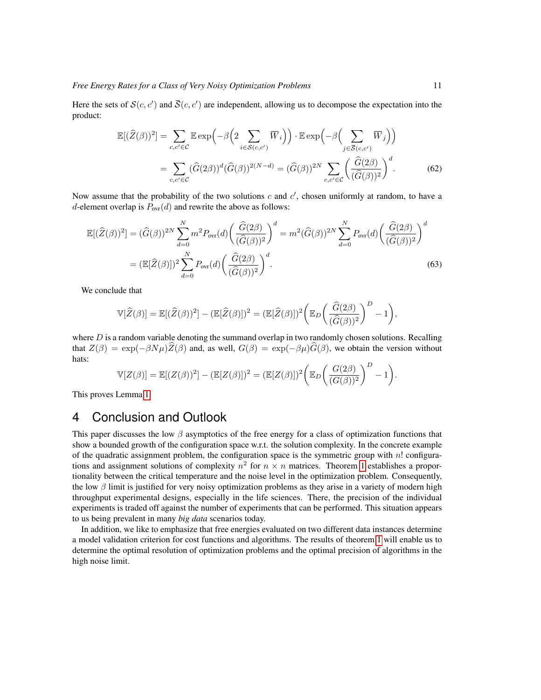Here the sets of  $\mathcal{S}(c, c')$  and  $\overline{\mathcal{S}}(c, c')$  are independent, allowing us to decompose the expectation into the product:

$$
\mathbb{E}[(\widehat{Z}(\beta))^2] = \sum_{c,c' \in \mathcal{C}} \mathbb{E} \exp\left(-\beta \left(2 \sum_{i \in \mathcal{S}(c,c')} \overline{W}_i\right)\right) \cdot \mathbb{E} \exp\left(-\beta \left(\sum_{j \in \overline{\mathcal{S}}(c,c')} \overline{W}_j\right)\right)
$$

$$
= \sum_{c,c' \in \mathcal{C}} (\widehat{G}(2\beta))^d (\widehat{G}(\beta))^{2(N-d)} = (\widehat{G}(\beta))^{2N} \sum_{c,c' \in \mathcal{C}} \left(\frac{\widehat{G}(2\beta)}{(\widehat{G}(\beta))^2}\right)^d.
$$
(62)

Now assume that the probability of the two solutions  $c$  and  $c'$ , chosen uniformly at random, to have a d-element overlap is  $P_{\text{ovr}}(d)$  and rewrite the above as follows:

$$
\mathbb{E}[(\widehat{Z}(\beta))^2] = (\widehat{G}(\beta))^{2N} \sum_{d=0}^N m^2 P_{\text{ovr}}(d) \left(\frac{\widehat{G}(2\beta)}{(\widehat{G}(\beta))^2}\right)^d = m^2 (\widehat{G}(\beta))^{2N} \sum_{d=0}^N P_{\text{ovr}}(d) \left(\frac{\widehat{G}(2\beta)}{(\widehat{G}(\beta))^2}\right)^d
$$

$$
= (\mathbb{E}[\widehat{Z}(\beta)])^2 \sum_{d=0}^N P_{\text{ovr}}(d) \left(\frac{\widehat{G}(2\beta)}{(\widehat{G}(\beta))^2}\right)^d.
$$
(63)

We conclude that

$$
\mathbb{V}[\widehat{Z}(\beta)] = \mathbb{E}[(\widehat{Z}(\beta))^2] - (\mathbb{E}[\widehat{Z}(\beta)])^2 = (\mathbb{E}[\widehat{Z}(\beta)])^2 \bigg(\mathbb{E}_D \bigg(\frac{\widehat{G}(2\beta)}{(\widehat{G}(\beta))^2}\bigg)^D - 1\bigg),
$$

where  $D$  is a random variable denoting the summand overlap in two randomly chosen solutions. Recalling that  $Z(\beta) = \exp(-\beta N\mu)\hat{Z}(\beta)$  and, as well,  $G(\beta) = \exp(-\beta \mu)\hat{G}(\beta)$ , we obtain the version without hats:

$$
\mathbb{V}[Z(\beta)] = \mathbb{E}[(Z(\beta))^2] - (\mathbb{E}[Z(\beta)])^2 = (\mathbb{E}[Z(\beta)])^2 \left(\mathbb{E}_D\left(\frac{G(2\beta)}{(G(\beta))^2}\right)^D - 1\right).
$$

This proves Lemma [1.](#page-7-0)

# 4 Conclusion and Outlook

This paper discusses the low  $\beta$  asymptotics of the free energy for a class of optimization functions that show a bounded growth of the configuration space w.r.t. the solution complexity. In the concrete example of the quadratic assignment problem, the configuration space is the symmetric group with n! configurations and assignment solutions of complexity  $n^2$  for  $n \times n$  matrices. Theorem [1](#page-5-0) establishes a proportionality between the critical temperature and the noise level in the optimization problem. Consequently, the low  $\beta$  limit is justified for very noisy optimization problems as they arise in a variety of modern high throughput experimental designs, especially in the life sciences. There, the precision of the individual experiments is traded off against the number of experiments that can be performed. This situation appears to us being prevalent in many *big data* scenarios today.

In addition, we like to emphasize that free energies evaluated on two different data instances determine a model validation criterion for cost functions and algorithms. The results of theorem [1](#page-5-0) will enable us to determine the optimal resolution of optimization problems and the optimal precision of algorithms in the high noise limit.